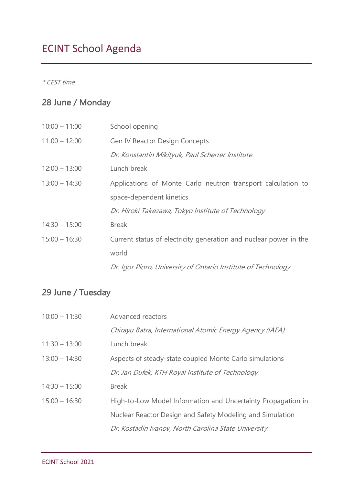# ECINT School Agenda

\* CEST time

#### 28 June / Monday

| $10:00 - 11:00$ | School opening                                                    |
|-----------------|-------------------------------------------------------------------|
| $11:00 - 12:00$ | <b>Gen IV Reactor Design Concepts</b>                             |
|                 | Dr. Konstantin Mikityuk, Paul Scherrer Institute                  |
| $12:00 - 13:00$ | Lunch break                                                       |
| $13:00 - 14:30$ | Applications of Monte Carlo neutron transport calculation to      |
|                 | space-dependent kinetics                                          |
|                 | Dr. Hiroki Takezawa, Tokyo Institute of Technology                |
| $14:30 - 15:00$ | <b>Break</b>                                                      |
| $15:00 - 16:30$ | Current status of electricity generation and nuclear power in the |
|                 | world                                                             |
|                 | Dr. Igor Pioro, University of Ontario Institute of Technology     |

#### 29 June / Tuesday

| $10:00 - 11:30$ | Advanced reactors                                            |
|-----------------|--------------------------------------------------------------|
|                 | Chirayu Batra, International Atomic Energy Agency (IAEA)     |
| $11:30 - 13:00$ | Lunch break                                                  |
| $13:00 - 14:30$ | Aspects of steady-state coupled Monte Carlo simulations      |
|                 | Dr. Jan Dufek, KTH Royal Institute of Technology             |
| $14:30 - 15:00$ | <b>Break</b>                                                 |
| $15:00 - 16:30$ | High-to-Low Model Information and Uncertainty Propagation in |
|                 | Nuclear Reactor Design and Safety Modeling and Simulation    |
|                 | Dr. Kostadin Ivanov, North Carolina State University         |
|                 |                                                              |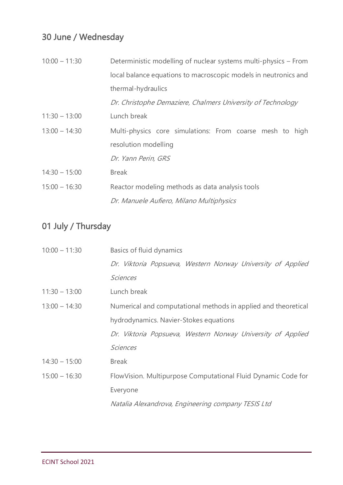# 30 June / Wednesday

| $10:00 - 11:30$ | Deterministic modelling of nuclear systems multi-physics – From |
|-----------------|-----------------------------------------------------------------|
|                 | local balance equations to macroscopic models in neutronics and |
|                 | thermal-hydraulics                                              |
|                 | Dr. Christophe Demaziere, Chalmers University of Technology     |
| $11:30 - 13:00$ | Lunch break                                                     |
| $13:00 - 14:30$ | Multi-physics core simulations: From coarse mesh to high        |
|                 | resolution modelling                                            |
|                 | Dr. Yann Perin, GRS                                             |
| $14:30 - 15:00$ | <b>Break</b>                                                    |
| $15:00 - 16:30$ | Reactor modeling methods as data analysis tools                 |
|                 | Dr. Manuele Aufiero, Milano Multiphysics                        |

# 01 July / Thursday

| Basics of fluid dynamics                                       |
|----------------------------------------------------------------|
| Dr. Viktoria Popsueva, Western Norway University of Applied    |
| <b>Sciences</b>                                                |
| Lunch break                                                    |
| Numerical and computational methods in applied and theoretical |
| hydrodynamics. Navier-Stokes equations                         |
| Dr. Viktoria Popsueva, Western Norway University of Applied    |
| <b>Sciences</b>                                                |
| <b>Break</b>                                                   |
| FlowVision. Multipurpose Computational Fluid Dynamic Code for  |
| Everyone                                                       |
| Natalia Alexandrova, Engineering company TESIS Ltd             |
|                                                                |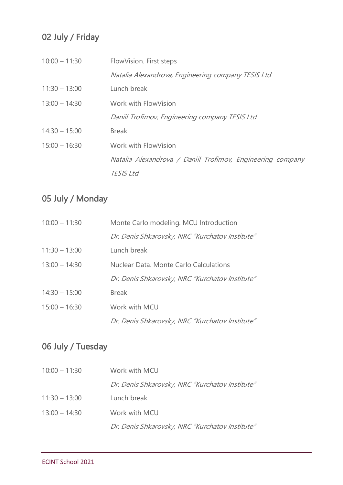# 02 July / Friday

| $10:00 - 11:30$ | FlowVision. First steps                                    |
|-----------------|------------------------------------------------------------|
|                 | Natalia Alexandrova, Engineering company TESIS Ltd         |
| $11:30 - 13:00$ | Lunch break                                                |
| $13:00 - 14:30$ | Work with FlowVision                                       |
|                 | Daniil Trofimov, Engineering company TESIS Ltd             |
| $14:30 - 15:00$ | <b>Break</b>                                               |
| $15:00 - 16:30$ | Work with FlowVision                                       |
|                 | Natalia Alexandrova / Daniil Trofimov, Engineering company |
|                 | <b>TESIS Ltd</b>                                           |

### 05 July / Monday

| $10:00 - 11:30$ | Monte Carlo modeling. MCU Introduction          |
|-----------------|-------------------------------------------------|
|                 | Dr. Denis Shkarovsky, NRC "Kurchatov Institute" |
| $11:30 - 13:00$ | Lunch break                                     |
| $13:00 - 14:30$ | Nuclear Data. Monte Carlo Calculations          |
|                 | Dr. Denis Shkarovsky, NRC "Kurchatov Institute" |
| $14:30 - 15:00$ | <b>Break</b>                                    |
| $15:00 - 16:30$ | Work with MCU                                   |
|                 | Dr. Denis Shkarovsky, NRC "Kurchatov Institute" |

### 06 July / Tuesday

| $10:00 - 11:30$ | Work with MCU                                   |
|-----------------|-------------------------------------------------|
|                 | Dr. Denis Shkarovsky, NRC "Kurchatov Institute" |
| $11:30 - 13:00$ | Lunch break                                     |
| $13:00 - 14:30$ | Work with MCU                                   |
|                 | Dr. Denis Shkarovsky, NRC "Kurchatov Institute" |